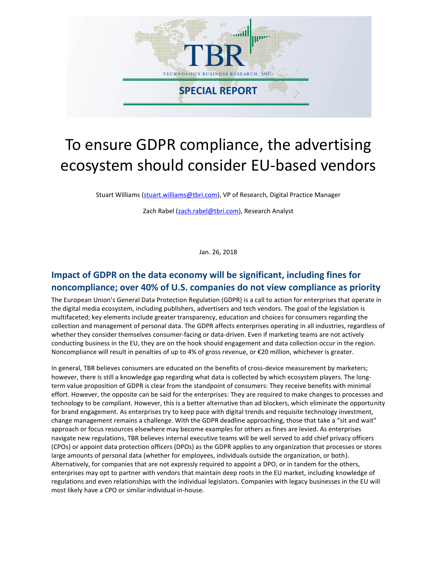

# To ensure GDPR compliance, the advertising ecosystem should consider EU-based vendors

Stuart Williams [\(stuart.williams@tbri.com\)](mailto:stuart.williams@tbri.com), VP of Research, Digital Practice Manager

Zach Rabel [\(zach.rabel@tbri.com\)](mailto:zach.rabel@tbri.com), Research Analyst

Jan. 26, 2018

### **Impact of GDPR on the data economy will be significant, including fines for noncompliance; over 40% of U.S. companies do not view compliance as priority**

The European Union's General Data Protection Regulation (GDPR) is a call to action for enterprises that operate in the digital media ecosystem, including publishers, advertisers and tech vendors. The goal of the legislation is multifaceted; key elements include greater transparency, education and choices for consumers regarding the collection and management of personal data. The GDPR affects enterprises operating in all industries, regardless of whether they consider themselves consumer-facing or data-driven. Even if marketing teams are not actively conducting business in the EU, they are on the hook should engagement and data collection occur in the region. Noncompliance will result in penalties of up to 4% of gross revenue, or €20 million, whichever is greater.

In general, TBR believes consumers are educated on the benefits of cross-device measurement by marketers; however, there is still a knowledge gap regarding what data is collected by which ecosystem players. The longterm value proposition of GDPR is clear from the standpoint of consumers: They receive benefits with minimal effort. However, the opposite can be said for the enterprises: They are required to make changes to processes and technology to be compliant. However, this is a better alternative than ad blockers, which eliminate the opportunity for brand engagement. As enterprises try to keep pace with digital trends and requisite technology investment, change management remains a challenge. With the GDPR deadline approaching, those that take a "sit and wait" approach or focus resources elsewhere may become examples for others as fines are levied. As enterprises navigate new regulations, TBR believes internal executive teams will be well served to add chief privacy officers (CPOs) or appoint data protection officers (DPOs) as the GDPR applies to any organization that processes or stores large amounts of personal data (whether for employees, individuals outside the organization, or both). Alternatively, for companies that are not expressly required to appoint a DPO, or in tandem for the others, enterprises may opt to partner with vendors that maintain deep roots in the EU market, including knowledge of regulations and even relationships with the individual legislators. Companies with legacy businesses in the EU will most likely have a CPO or similar individual in-house.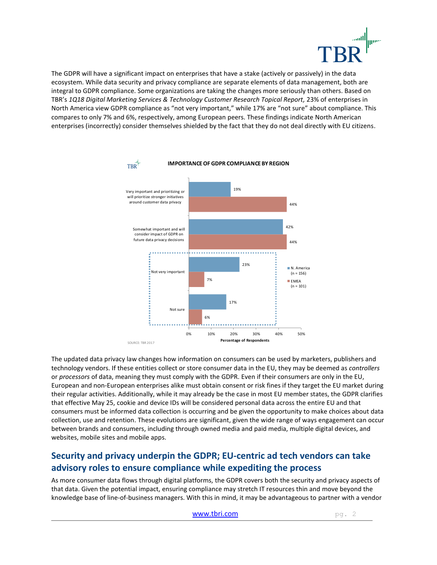

The GDPR will have a significant impact on enterprises that have a stake (actively or passively) in the data ecosystem. While data security and privacy compliance are separate elements of data management, both are integral to GDPR compliance. Some organizations are taking the changes more seriously than others. Based on TBR's *1Q18 Digital Marketing Services & Technology Customer Research Topical Report,* 23% of enterprises in North America view GDPR compliance as "not very important," while 17% are "not sure" about compliance. This compares to only 7% and 6%, respectively, among European peers. These findings indicate North American enterprises (incorrectly) consider themselves shielded by the fact that they do not deal directly with EU citizens.



The updated data privacy law changes how information on consumers can be used by marketers, publishers and technology vendors. If these entities collect or store consumer data in the EU, they may be deemed as *controllers* or *processors* of data, meaning they must comply with the GDPR. Even if their consumers are only in the EU, European and non-European enterprises alike must obtain consent or risk fines if they target the EU market during their regular activities. Additionally, while it may already be the case in most EU member states, the GDPR clarifies that effective May 25, cookie and device IDs will be considered personal data across the entire EU and that consumers must be informed data collection is occurring and be given the opportunity to make choices about data collection, use and retention. These evolutions are significant, given the wide range of ways engagement can occur between brands and consumers, including through owned media and paid media, multiple digital devices, and websites, mobile sites and mobile apps.

## **Security and privacy underpin the GDPR; EU-centric ad tech vendors can take advisory roles to ensure compliance while expediting the process**

As more consumer data flows through digital platforms, the GDPR covers both the security and privacy aspects of that data. Given the potential impact, ensuring compliance may stretch IT resources thin and move beyond the knowledge base of line-of-business managers. With this in mind, it may be advantageous to partner with a vendor

[www.tbri.com](http://www.tbri.com/) pg. 2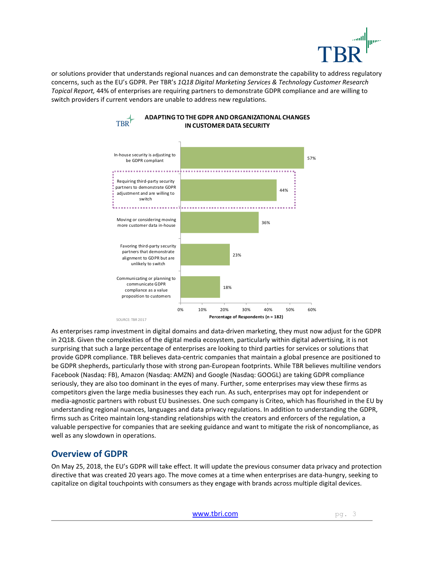

or solutions provider that understands regional nuances and can demonstrate the capability to address regulatory concerns, such as the EU's GDPR. Per TBR's *1Q18 Digital Marketing Services & Technology Customer Research Topical Report,* 44% of enterprises are requiring partners to demonstrate GDPR compliance and are willing to switch providers if current vendors are unable to address new regulations.



#### **ADAPTING TO THE GDPR AND ORGANIZATIONAL CHANGES IN CUSTOMER DATA SECURITY** TBR<sup></sup>

As enterprises ramp investment in digital domains and data-driven marketing, they must now adjust for the GDPR in 2Q18. Given the complexities of the digital media ecosystem, particularly within digital advertising, it is not surprising that such a large percentage of enterprises are looking to third parties for services or solutions that provide GDPR compliance. TBR believes data-centric companies that maintain a global presence are positioned to be GDPR shepherds, particularly those with strong pan-European footprints. While TBR believes multiline vendors Facebook (Nasdaq: FB), Amazon (Nasdaq: AMZN) and Google (Nasdaq: GOOGL) are taking GDPR compliance seriously, they are also too dominant in the eyes of many. Further, some enterprises may view these firms as competitors given the large media businesses they each run. As such, enterprises may opt for independent or media-agnostic partners with robust EU businesses. One such company is Criteo, which has flourished in the EU by understanding regional nuances, languages and data privacy regulations. In addition to understanding the GDPR, firms such as Criteo maintain long-standing relationships with the creators and enforcers of the regulation, a valuable perspective for companies that are seeking guidance and want to mitigate the risk of noncompliance, as well as any slowdown in operations.

### **Overview of GDPR**

On May 25, 2018, the EU's GDPR will take effect. It will update the previous consumer data privacy and protection directive that was created 20 years ago. The move comes at a time when enterprises are data-hungry, seeking to capitalize on digital touchpoints with consumers as they engage with brands across multiple digital devices.